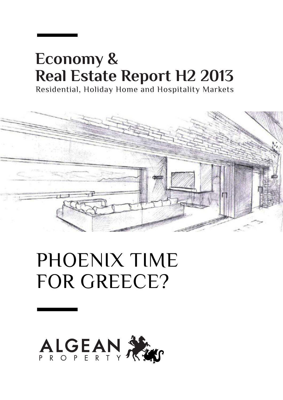# **Economy & Real Estate Report H2 2013** Residential, Holiday Home and Hospitality Markets



# PHOENIX TIME FOR GREECE?

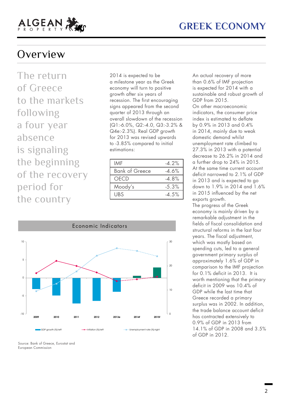

The return of Greece to the markets following a four year absence is signaling the beginning of the recovery period for the country

2014 is expected to be a milestone year as the Greek economy will turn to positive growth after six years of recession. The first encouraging signs appeared from the second quarter of 2013 through an overall slowdown of the recession (Q1:-6.0%, Q2:-4.0, Q3:-3.2% & Q4e:-2.3%). Real GDP growth for 2013 was revised upwards to -3.85% compared to initial estimations:

| IMF                   | $-4.2%$  |
|-----------------------|----------|
| <b>Bank of Greece</b> | $-4.6\%$ |
| <b>OECD</b>           | $-4.8%$  |
| Moody's               | $-5.3%$  |
| <b>UBS</b>            | $-4.5%$  |



Source: Bank of Greece, Eurostat and European Commission

An actual recovery of more than 0.6% of IMF projection is expected for 2014 with a sustainable and robust growth of GDP from 2015.

On other macroeconomic indicators, the consumer price index is estimated to deflate by 0.9% in 2013 and 0.4% in 2014, mainly due to weak domestic demand whilst unemployment rate climbed to 27.3% in 2013 with a potential decrease to 26.2% in 2014 and a further drop to 24% in 2015. At the same time current account deficit narrowed to 2.1% of GDP in 2013 and is expected to go down to 1.9% in 2014 and 1.6% in 2015 influenced by the net exports growth.

The progress of the Greek economy is mainly driven by a remarkable adjustment in the fields of fiscal consolidation and structural reforms in the last four years. The fiscal adjustment, which was mostly based on spending cuts, led to a general government primary surplus of approximately 1.6% of GDP in comparison to the IMF projection for 0.1% deficit in 2013. It is worth mentioning that the primary deficit in 2009 was 10.4% of GDP while the last time that Greece recorded a primary surplus was in 2002. In addition, the trade balance account deficit has contracted extensively to 0.9% of GDP in 2013 from 14.1% of GDP in 2008 and 3.5% of GDP in 2012.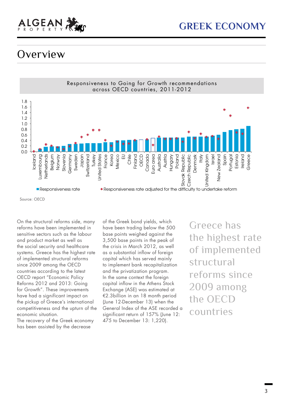



Source: OECD

On the structural reforms side, many reforms have been implemented in sensitive sectors such as the labour and product market as well as the social security and healthcare systems. Greece has the highest rate of implemented structural reforms since 2009 among the OECD countries according to the latest OECD report "Economic Policy Reforms 2012 and 2013: Going for Growth". These improvements have had a significant impact on the pickup of Greece's international competitiveness and the upturn of the economic situation.

The recovery of the Greek economy has been assisted by the decrease

of the Greek bond yields, which have been trading below the 500 base points weighed against the 3,500 base points in the peak of the crisis in March 2012, as well as a substantial inflow of foreign capital which has served mainly to implement bank recapitalization and the privatization program. In the same context the foreign capital inflow in the Athens Stock Exchange (ASE) was estimated at €2.3billion in an 18 month period (June 12-December 13) when the General Index of the ASE recorded a significant return of 157% (June 12: 475 to December 13: 1,220).

Greece has the highest rate of implemented structural reforms since 2009 among the OEC countries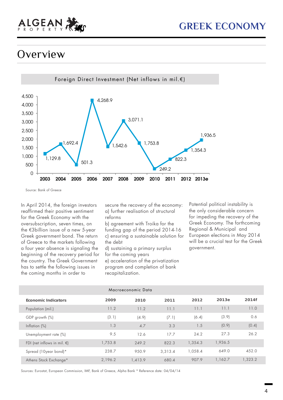



Source: Bank of Greece

In April 2014, the foreign investors reaffirmed their positive sentiment for the Greek Economy with the oversubscription, seven times, on the €3billion issue of a new 5-year Greek government bond. The return of Greece to the markets following a four year absence is signaling the beginning of the recovery period for the country. The Greek Government has to settle the following issues in the coming months in order to

secure the recovery of the economy: a) further realisation of structural reforms

b) agreement with Troika for the funding gap of the period 2014-16 c) ensuring a sustainable solution for the debt d) sustaining a primary surplus

for the coming years e) acceleration of the privatization program and completion of bank

recapitalization.

Potential political instability is the only considerable concern for impeding the recovery of the Greek Economy. The forthcoming Regional & Municipal and European elections in May 2014 will be a crucial test for the Greek government.

| Macroeconomic Data                    |         |         |         |         |         |         |
|---------------------------------------|---------|---------|---------|---------|---------|---------|
| <b>Economic Indicators</b>            | 2009    | 2010    | 2011    | 2012    | 2013e   | 2014f   |
| Population (mil.)                     | 11.2    | 11.2    | 11.1    | 11.1    | 11.1    | 11.0    |
| GDP growth (%)                        | (3.1)   | (4.9)   | (7.1)   | (6.4)   | (3.9)   | 0.6     |
| Inflation $(\%)$                      | 1.3     | 4.7     | 3.3     | 1.5     | (0.9)   | (0.4)   |
| Unemployment rate (%)                 | 9.5     | 12.6    | 17.7    | 24.2    | 27.3    | 26.2    |
| FDI (net inflows in mil. $\epsilon$ ) | 1,753.8 | 249.2   | 822.3   | 1,354.3 | 1,936.5 |         |
| Spread (10year bond)*                 | 238.7   | 950.9   | 3.313.4 | 1,058.4 | 649.0   | 452.0   |
| Athens Stock Exchange*                | 2,196.2 | 1.413.9 | 680.4   | 907.9   | 1,162.7 | 1,323.2 |

Sources: Eurostat, European Commission, IMF, Bank of Greece, Alpha Bank \* Reference date: 04/04/14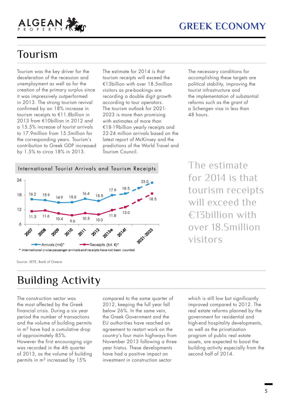

### Tourism

ALGEAN

Tourism was the key driver for the deceleration of the recession and unemployment as well as for the creation of the primary surplus since it was impressively outperformed in 2013. The strong tourism revival confirmed by an 18% increase in tourism receipts to €11.8billion in 2013 from €10billion in 2012 and a 15.5% increase of tourist arrivals to 17.9million from 15.5million for the corresponding years. Tourism's contribution to Greek GDP increased by 1.5% to circa 18% in 2013.

The estimate for 2014 is that tourism receipts will exceed the €13billion with over 18.5million visitors as pre-bookings are recording a double digit growth according to tour operators. The tourism outlook for 2021- 2023 is more than promising with estimates of more than €18-19billion yearly receipts and 22-24 million arrivals based on the latest report of McKinsey and the predictions of the World Travel and Tourism Council.

The necessary conditions for accomplishing these targets are political stability, improving the tourist infrastructure and the implementation of substantial reforms such as the grant of a Schengen visa in less than 48 hours.





The estimate for 2014 is that tourism receipts will exceed the €13billion with over 18.5million visitors

Source: SETE, Bank of Greece

### Building Activity

The construction sector was the most affected by the Greek financial crisis. During a six year period the number of transactions and the volume of building permits in m3 have had a cumulative drop of approximately 85%. However the first encouraging sign

was recorded in the 4th quarter of 2013, as the volume of building permits in m3 increased by 15%

compared to the same quarter of 2012, keeping the full year fall below 26%. In the same vein, the Greek Government and the EU authorities have reached an agreement to restart work on the country's four main highways from November 2013 following a three year hiatus. These developments have had a positive impact on investment in construction sector

which is still low but significantly improved compared to 2012. The real estate reforms planned by the government for residential and high-end hospitality developments, as well as the privatization program of public real estate assets, are expected to boost the building activity especially from the second half of 2014.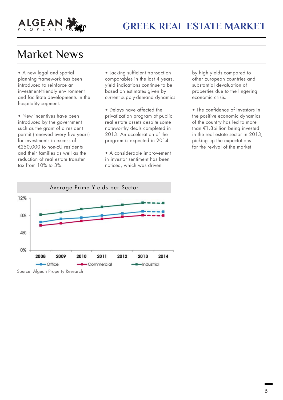

### Market News

• A new legal and spatial planning framework has been introduced to reinforce an investment-friendly environment and facilitate developments in the hospitality segment.

• New incentives have been introduced by the government such as the grant of a resident permit (renewed every five years) for investments in excess of €250,000 to non-EU residents and their families as well as the reduction of real estate transfer tax from 10% to 3%.

• Lacking sufficient transaction comparables in the last 4 years, yield indications continue to be based on estimates given by current supply-demand dynamics.

• Delays have affected the privatization program of public real estate assets despite some noteworthy deals completed in 2013. An acceleration of the program is expected in 2014.

• A considerable improvement in investor sentiment has been noticed, which was driven

by high yields compared to other European countries and substantial devaluation of properties due to the lingering economic crisis.

• The confidence of investors in the positive economic dynamics of the country has led to more than €1.8billion being invested in the real estate sector in 2013, picking up the expectations for the revival of the market.



Source: Algean Property Research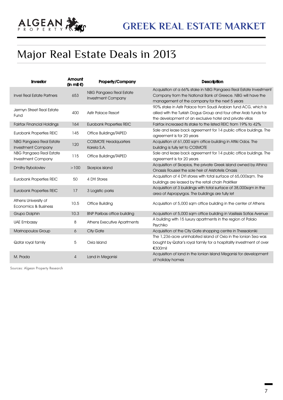### Major Real Estate Deals in 2013

ALGEAN

| Investor                                             | Amount<br>(in mil $\epsilon$ ) | <b>Property/Company</b>                              | <b>Description</b>                                                                                                                                                                               |
|------------------------------------------------------|--------------------------------|------------------------------------------------------|--------------------------------------------------------------------------------------------------------------------------------------------------------------------------------------------------|
| <b>Invel Real Estate Partners</b>                    | 653                            | NBG Pangaea Real Estate<br><b>Investment Company</b> | Acquisition of a 66% stake in NBG Pangaea Real Estate Investment<br>Company from the National Bank of Greece. NBG will have the<br>management of the company for the next 5 years                |
| Jermyn Street Real Estate<br>Fund                    | 400                            | <b>Astir Palace Resort</b>                           | 90% stake in Astir Palace from Saudi Arabian fund ACG, which is<br>allied with the Turkish Dogus Group and four other Arab funds for<br>the development of an exclusive hotel and private villas |
| <b>Fairfax Financial Holdings</b>                    | 164                            | <b>Eurobank Properties REIC</b>                      | Fairfax increased its stake to the listed REIC from 19% to 42%                                                                                                                                   |
| <b>Eurobank Properties REIC</b>                      | 145                            | Office Buildings/TAIPED                              | Sale and lease back agreement for 14 public office buldings. The<br>agreement is for 20 years                                                                                                    |
| NBG Pangaea Real Estate<br><b>Investment Company</b> | 120                            | <b>COSMOTE Headquarters</b><br>Karela S.A.           | Acquisition of 61,000 sqm office building in Attiki Odos. The<br>building is fully let to COSMOTE                                                                                                |
| NBG Pangaea Real Estate<br><b>Investment Company</b> | 115                            | <b>Office Buildings/TAIPED</b>                       | Sale and lease back agreement for 14 public office buldings. The<br>agreement is for 20 years                                                                                                    |
| <b>Dmitry Rybolovlev</b>                             | >100                           | Skorpios island                                      | Acquisition of Skorpios, the private Greek island owned by Athina<br>Onassis Roussel the sole heir of Aristotelis Onasis                                                                         |
| <b>Eurobank Properties REIC</b>                      | 50                             | 4 DYI Stores                                         | Acquisition of 4 DYI stores with total surface of 65,000sqm. The<br>buildings are leased by the retail chain Praktiker                                                                           |
| <b>Eurobank Properties REIC</b>                      | 17                             | 3 Logistic parks                                     | Acquisition of 3 buildings with total surface of 38,000sqm in the<br>area of Aspropyrgos. The buildings are fully let                                                                            |
| Athens University of<br>Economics & Business         | 10.5                           | <b>Office Building</b>                               | Acquisition of 5,000 sqm office building in the center of Athens                                                                                                                                 |
| Grupo Dolphin                                        | 10.3                           | <b>BNP Paribas office building</b>                   | Acquisition of 5,000 sqm office building in Vasilissis Sofias Avenue                                                                                                                             |
| <b>UAE Embassy</b>                                   | 8                              | Athens Executive Apartments                          | A building with 15 luxury apartments in the region of Palaio<br>Psychiko                                                                                                                         |
| <b>Marinopoulos Group</b>                            | 6                              | City Gate                                            | Acquisition of the City Gate shopping centre in Thessaloniki                                                                                                                                     |
| Qatar royal family                                   | 5                              | Oxia Island                                          | The 1,236-acre uninhabited island of Oxia in the Ionian Sea was<br>bought by Qatar's royal family for a hospitality investment of over<br>€300mil                                                |
| M. Prada                                             | 4                              | Land in Meganisi                                     | Acquisition of land in the Ionian Island Meganisi for development<br>of holiday homes                                                                                                            |

Sources: Algean Property Research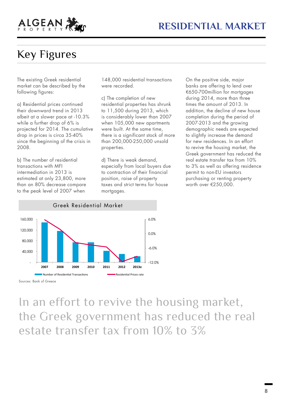

# Key Figures

The existing Greek residential market can be described by the following figures:

a) Residential prices continued their downward trend in 2013 albeit at a slower pace at -10.3% while a further drop of 6% is projected for 2014. The cumulative drop in prices is circa 35-40% since the beginning of the crisis in 2008.

b) The number of residential transactions with MFI intermediation in 2013 is estimated at only 23,800, more than an 80% decrease compare to the peak level of 2007 when

148,000 residential transactions were recorded.

c) The completion of new residential properties has shrunk to 11,500 during 2013, which is considerably lower than 2007 when 105,000 new apartments were built. At the same time, there is a significant stock of more than 200,000-250,000 unsold properties.

d) There is weak demand, especially from local buyers due to contraction of their financial position, raise of property taxes and strict terms for house mortgages.

On the positive side, major banks are offering to lend over €650-700million for mortgages during 2014, more than three times the amount of 2013. In addition, the decline of new house completion during the period of 2007-2013 and the growing demographic needs are expected to slightly increase the demand for new residences. In an effort to revive the housing market, the Greek government has reduced the real estate transfer tax from 10% to 3% as well as offering residence permit to non-EU investors purchasing or renting property worth over €250,000.



Sources: Bank of Greece

# In an effort to revive the housing market, the Greek government has reduced the real estate transfer tax from 10% to 3%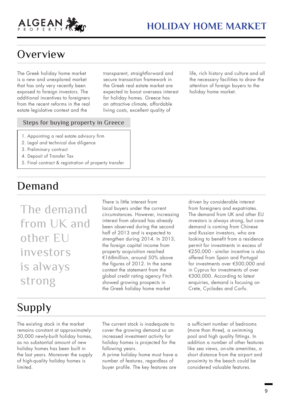

The Greek holiday home market is a new and unexplored market that has only very recently been exposed to foreign investors. The additional incentives to foreigners from the recent reforms in the real estate legislative context and the

transparent, straightforward and secure transaction framework in the Greek real estate market are expected to boost overseas interest for holiday homes. Greece has an attractive climate, affordable living costs, excellent quality of

life, rich history and culture and all the necessary facilities to draw the attention of foreign buyers to the holiday home market.

#### Steps for buying property in Greece

- 1. Appointing a real estate advisory firm
- 2. Legal and technical due diligence
- 3. Preliminary contract
- 4. Deposit of Transfer Tax
- 5. Final contract & registration of property transfer

### Demand

The demand from UK and other EU investors is always strong

There is little interest from local buyers under the current circumstances. However, increasing interest from abroad has already been observed during the second half of 2013 and is expected to strengthen during 2014. In 2013, the foreign capital income from property acquisition reached €168million, around 50% above the figures of 2012. In the same context the statement from the global credit rating agency Fitch showed growing prospects in the Greek holiday home market

driven by considerable interest from foreigners and expatriates. The demand from UK and other EU investors is always strong, but core demand is coming from Chinese and Russian investors, who are looking to benefit from a residence permit for investments in excess of €250,000 - similar incentive is also offered from Spain and Portugal for investments over €500,000 and in Cyprus for investments of over €300,000. According to latest enquiries, demand is focusing on Crete, Cyclades and Corfu.

# Supply

The existing stock in the market remains constant at approximately 50,000 newly-built holiday homes, as no substantial amount of new holiday homes has been built in the last years. Moreover the supply of high-quality holiday homes is limited.

The current stock is inadequate to cover the growing demand so an increased investment activity for holiday homes is projected for the following years.

A prime holiday home must have a number of features, regardless of buyer profile. The key features are

a sufficient number of bedrooms (more than three), a swimming pool and high quality fittings. In addition a number of other features like sea views, on-site amenities, a short distance from the airport and proximity to the beach could be considered valuable features.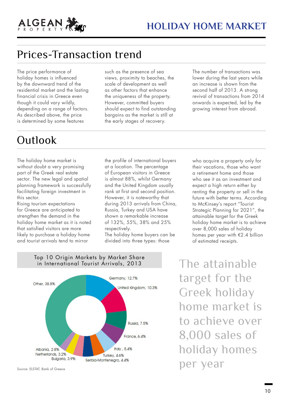

### Prices-Transaction trend

The price performance of holiday homes is influenced by the downward trend of the residential market and the lasting financial crisis in Greece even though it could vary wildly, depending on a range of factors. As described above, the price is determined by some features

such as the presence of sea views, proximity to beaches, the scale of development as well as other factors that enhance the uniqueness of the property. However, committed buyers should expect to find outstanding bargains as the market is still at the early stages of recovery.

The number of transactions was lower during the last years while an increase is shown from the second half of 2013. A strong revival of transactions from 2014 onwards is expected, led by the growing interest from abroad.

# **Outlook**

The holiday home market is without doubt a very promising part of the Greek real estate sector. The new legal and spatial planning framework is successfully facilitating foreign investment in this sector.

Rising tourism expectations for Greece are anticipated to strengthen the demand in the holiday home market as it is noted that satisfied visitors are more likely to purchase a holiday home and tourist arrivals tend to mirror

the profile of international buyers at a location. The percentage of European visitors in Greece is almost 88%, whilst Germany and the United Kingdom usually rank at first and second position. However, it is noteworthy that during 2013 arrivals from China, Russia, Turkey and USA have shown a remarkable increase of 132%, 55%, 38% and 25% respectively.

The holiday home buyers can be divided into three types: those

who acquire a property only for their vacations, those who want a retirement home and those who see it as an investment and expect a high return either by renting the property or sell in the future with better terms. According to McKinsey's report "Tourist Strategic Planning for 2021", the attainable target for the Greek holiday home market is to achieve over 8,000 sales of holiday homes per year with €2.4 billion of estimated receipts.

The attainable target for the Greek holiday home market is to achieve over 8,000 sales of holiday homes per year

### Top 10 Origin Markets by Market Share in International Tourist Arrivals, 2013 Germany, 12.7%



Source: ELSTAT, Bank of Greece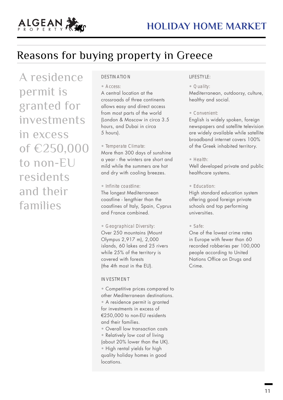# Reasons for buying property in Greece

A residence permit is granted for investments in excess of €250,000 to non-EU residents and their families

ALGEAN

#### DESTINATION

• Access:

A central location at the crossroads of three continents allows easy and direct access from most parts of the world (London & Moscow in circa 3.5 hours, and Dubai in circa 5 hours).

• Temperate Climate:

More than 300 days of sunshine a year - the winters are short and mild while the summers are hot and dry with cooling breezes.

• Infinite coastline: The longest Mediterranean coastline - lengthier than the coastlines of Italy, Spain, Cyprus and France combined.

• Geographical Diversity: Over 250 mountains (Mount Olympus 2,917 m), 2,000 islands, 60 lakes and 25 rivers while 25% of the territory is covered with forests (the 4th most in the EU).

#### INVESTMENT

• Competitive prices compared to other Mediterranean destinations. • A residence permit is granted for investments in excess of €250,000 to non-EU residents and their families. • Overall low transaction costs • Relatively low cost of living

(about 20% lower than the UK). • High rental yields for high quality holiday homes in good locations.

#### LIFESTYLE:

• Quality:

Mediterranean, outdoorsy, culture, healthy and social.

• Convenient:

English is widely spoken, foreign newspapers and satellite television are widely available while satellite broadband internet covers 100% of the Greek inhabited territory.

• Health:

Well developed private and public healthcare systems.

• Education:

High standard education system offering good foreign private schools and top performing universities.

• Safe:

One of the lowest crime rates in Europe with fewer than 60 recorded robberies per 100,000 people according to United Nations Office on Drugs and Crime.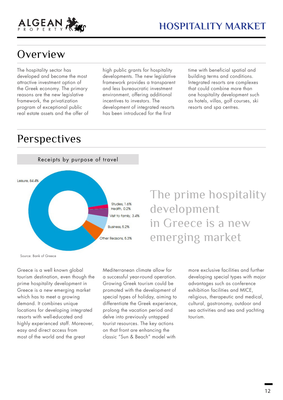

The hospitality sector has developed and become the most attractive investment option of the Greek economy. The primary reasons are the new legislative framework, the privatization program of exceptional public real estate assets and the offer of

high public grants for hospitality developments. The new legislative framework provides a transparent and less bureaucratic investment environment, offering additional incentives to investors. The development of integrated resorts has been introduced for the first

time with beneficial spatial and building terms and conditions. Integrated resorts are complexes that could combine more than one hospitality development such as hotels, villas, golf courses, ski resorts and spa centres.

### Perspectives



# The prime hospitality development in Greece is a new emerging market

Source: Bank of Greece

Greece is a well known global tourism destination, even though the prime hospitality development in Greece is a new emerging market which has to meet a growing demand. It combines unique locations for developing integrated resorts with well-educated and highly experienced staff. Moreover, easy and direct access from most of the world and the great

Mediterranean climate allow for a successful year-round operation. Growing Greek tourism could be promoted with the development of special types of holiday, aiming to differentiate the Greek experience, prolong the vacation period and delve into previously untapped tourist resources. The key actions on that front are enhancing the classic "Sun & Beach" model with

more exclusive facilities and further developing special types with major advantages such as conference exhibition facilities and MICE, religious, therapeutic and medical, cultural, gastronomy, outdoor and sea activities and sea and yachting tourism.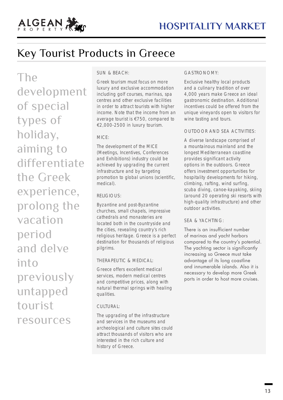# Key Tourist Products in Greece

The development of special types of holiday, aiming to differentiate the Greek experience, prolong the vacation period and delve into previously untapped tourist resources

ALGEAN

#### SUN & BEACH:

Greek tourism must focus on more luxury and exclusive accommodation including golf courses, marinas, spa centres and other exclusive facilities in order to attract tourists with higher income. Note that the income from an average tourist is €750, compared to €2,000-2500 in luxury tourism.

#### MICE:

The development of the MICE (Meetings, Incentives, Conferences and Exhibitions) industry could be achieved by upgrading the current infrastructure and by targeting promotion to global unions (scientific, medical).

#### RELIGIOUS:

Byzantine and post-Byzantine churches, small chapels, impressive cathedrals and monasteries are located both in the countryside and the cities, revealing country's rich religious heritage. Greece is a perfect destination for thousands of religious pilgrims.

#### THERAPEUTIC & MEDICAL:

Greece offers excellent medical services, modern medical centres and competitive prices, along with natural thermal springs with healing qualities.

#### CULTURAL:

The upgrading of the infrastructure and services in the museums and archeological and culture sites could attract thousands of visitors who are interested in the rich culture and history of Greece.

#### GASTRONOMY:

Exclusive healthy local products and a culinary tradition of over 4,000 years make Greece an ideal gastronomic destination. Additional incentives could be offered from the unique vineyards open to visitors for wine tasting and tours.

#### OUTDOOR AND SEA ACTIVITIES:

A diverse landscape comprised of a mountainous mainland and the longest Mediterranean coastline provides significant activity options in the outdoors. Greece offers investment opportunities for hospitality developments for hiking, climbing, rafting, wind surfing, scuba diving, canoe-kayaking, skiing (around 20 operating ski resorts with high-quality infrastructure) and other outdoor activities.

#### SEA & YACHTING:

There is an insufficient number of marinas and yacht harbors compared to the country's potential. The yachting sector is significantly increasing so Greece must take advantage of its long coastline and innumerable islands. Also it is necessary to develop more Greek ports in order to host more cruises.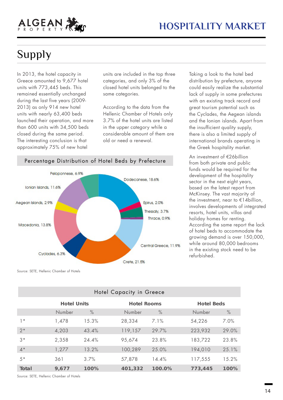

# Supply

In 2013, the hotel capacity in Greece amounted to 9,677 hotel units with 773,445 beds. This remained essentially unchanged during the last five years (2009- 2013) as only 914 new hotel units with nearly 63,400 beds launched their operation, and more than 600 units with 34,500 beds closed during the same period. The interesting conclusion is that approximately 75% of new hotel

units are included in the top three categories, and only 3% of the closed hotel units belonged to the same categories.

According to the data from the Hellenic Chamber of Hotels only 3.7% of the hotel units are listed in the upper category while a considerable amount of them are old or need a renewal.



Taking a look to the hotel bed distribution by prefecture, anyone could easily realize the substantial lack of supply in some prefectures with an existing track record and great tourism potential such as the Cyclades, the Aegean islands and the Ionian islands. Apart from the insufficient quality supply, there is also a limited supply of international brands operating in the Greek hospitality market.

An investment of €26billion from both private and public funds would be required for the development of the hospitality sector in the next eight years, based on the latest report from McKinsey. The vast majority of the investment, near to €14billion, involves developments of integrated resorts, hotel units, villas and holiday homes for renting. According the same report the lack of hotel beds to accommodate the growing demand is over 150,000, while around 80,000 bedrooms in the existing stock need to be refurbished.

Source: SETE, Hellenic Chamber of Hotels

| Hotel Capacity in Greece |                    |       |                    |        |                   |       |  |
|--------------------------|--------------------|-------|--------------------|--------|-------------------|-------|--|
|                          | <b>Hotel Units</b> |       | <b>Hotel Rooms</b> |        | <b>Hotel Beds</b> |       |  |
|                          | Number             | $\%$  | Number             | $\%$   | Number            | $\%$  |  |
| $1*$                     | 1,478              | 15.3% | 28,334             | 7.1%   | 54,226            | 7.0%  |  |
| $2*$                     | 4,203              | 43.4% | 119,157            | 29.7%  | 223,932           | 29.0% |  |
| $3*$                     | 2,358              | 24.4% | 95,674             | 23.8%  | 183,722           | 23.8% |  |
| $4*$                     | 1,277              | 13.2% | 100,289            | 25.0%  | 194,010           | 25.1% |  |
| $.5*$                    | 361                | 3.7%  | 57,878             | 14.4%  | 117,555           | 15.2% |  |
| Total                    | 9,677              | 100%  | 401,332            | 100.0% | 773,445           | 100%  |  |

Source: SETE, Hellenic Chamber of Hotels

#### $1<sub>A</sub>$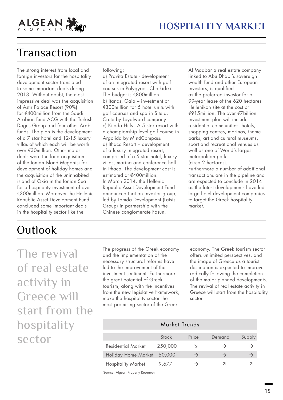



ALGEAN

The strong interest from local and foreign investors for the hospitality development sector translated to some important deals during 2013. Without doubt, the most impressive deal was the acquisition of Astir Palace Resort (90%) for €400million from the Saudi Arabian fund ACG with the Turkish Dogus Group and four other Arab funds. The plan is the development of a 7 star hotel and 12-15 luxury villas of which each will be worth over €30million. Other major deals were the land acquisition of the Ionian Island Meganisi for development of holiday homes and the acquisition of the uninhabited island of Oxia in the Ionian Sea for a hospitality investment of over €300million. Moreover the Hellenic Republic Asset Development Fund concluded some important deals in the hospitality sector like the

following:

a) Pravita Estate - development of an integrated resort with golf courses in Polygyros, Chalkidiki. The budget is €800million. b) Itanos, Gaia – investment of €300million for 5 hotel units with golf courses and spa in Siteia, Crete by Loyalward company c) Kilada Hills - A 5 star resort with a championship level golf course in Argolida by MindCompass d) Ithaca Resort – development of a luxury integrated resort, comprised of a 5 star hotel, luxury villas, marina and conference hall in Ithaca. The development cost is estimated at €400million. In March 2014, the Hellenic Republic Asset Development Fund announced that an investor group, led by Lamda Development (Latsis Group) in partnership with the Chinese conglomerate Fosun,

Al Maabar a real estate company linked to Abu Dhabi's sovereign wealth fund and other European investors, is qualified as the preferred investor for a 99-year lease of the 620 hectares Hellenikon site at the cost of €915million. The over €7billion investment plan will include residential communities, hotels, shopping centres, marinas, theme parks, art and cultural museums, sport and recreational venues as well as one of World's largest metropolitan parks (circa 2 hectares).

Furthermore a number of additional transactions are in the pipeline and are expected to conclude in 2014 as the latest developments have led large hotel development companies to target the Greek hospitality market.

# **Outlook**

The revival of real estate activity in Greece will start from the hospitality sector

The progress of the Greek economy and the implementation of the necessary structural reforms have led to the improvement of the investment sentiment. Furthermore the great potential of Greek tourism, along with the incentives from the new legislative framework, make the hospitality sector the most promising sector of the Greek

economy. The Greek tourism sector offers unlimited perspectives, and the image of Greece as a tourist destination is expected to improve radically following the completion of the major planned developments. The revival of real estate activity in Greece will start from the hospitality sector.

| Market Trends             |         |       |               |               |  |  |  |  |
|---------------------------|---------|-------|---------------|---------------|--|--|--|--|
|                           | Stock   | Price | Demand        | Supply        |  |  |  |  |
| Residential Market        | 250,000 |       | $\rightarrow$ | $\rightarrow$ |  |  |  |  |
| Holiday Home Market       | 50,000  |       | $\rightarrow$ |               |  |  |  |  |
| <b>Hospitality Market</b> | 9,677   |       |               |               |  |  |  |  |

Source: Algean Property Research